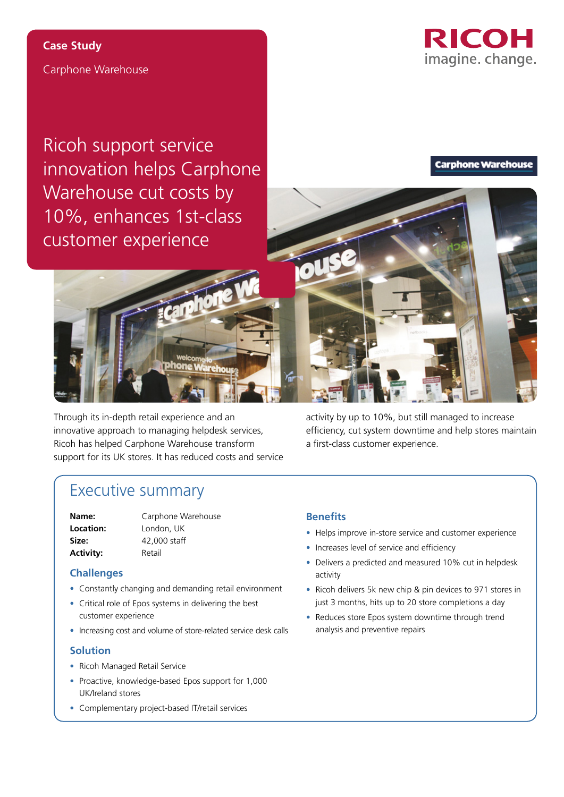

Carphone Warehouse **Case Study**

Ricoh support service innovation helps Carphone Warehouse cut costs by 10%, enhances 1st-class customer experience

**Carphone Warehouse** 



Through its in-depth retail experience and an innovative approach to managing helpdesk services, Ricoh has helped Carphone Warehouse transform support for its UK stores. It has reduced costs and service

**Phone** 

activity by up to 10%, but still managed to increase efficiency, cut system downtime and help stores maintain a first-class customer experience.

# Executive summary

Activity: Retail

**Name:** Carphone Warehouse **Location:** London, UK **Size:** 42,000 staff

## **Challenges**

- Constantly changing and demanding retail environment
- Critical role of Epos systems in delivering the best customer experience
- Increasing cost and volume of store-related service desk calls

## **Solution**

- Ricoh Managed Retail Service
- Proactive, knowledge-based Epos support for 1,000 UK/Ireland stores
- Complementary project-based IT/retail services

## **Benefits**

- Helps improve in-store service and customer experience
- Increases level of service and efficiency
- Delivers a predicted and measured 10% cut in helpdesk activity
- Ricoh delivers 5k new chip & pin devices to 971 stores in just 3 months, hits up to 20 store completions a day
- Reduces store Epos system downtime through trend analysis and preventive repairs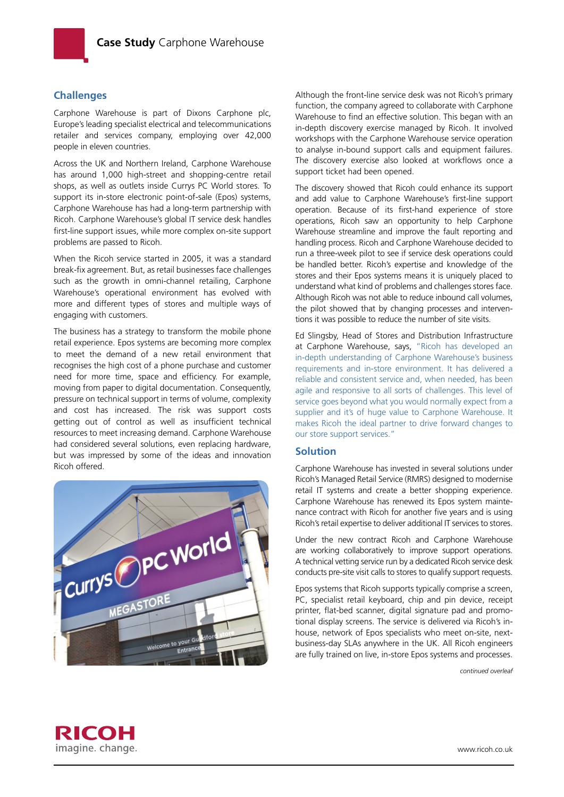

## **Challenges**

Carphone Warehouse is part of Dixons Carphone plc, Europe's leading specialist electrical and telecommunications retailer and services company, employing over 42,000 people in eleven countries.

Across the UK and Northern Ireland, Carphone Warehouse has around 1,000 high-street and shopping-centre retail shops, as well as outlets inside Currys PC World stores. To support its in-store electronic point-of-sale (Epos) systems, Carphone Warehouse has had a long-term partnership with Ricoh. Carphone Warehouse's global IT service desk handles first-line support issues, while more complex on-site support problems are passed to Ricoh.

When the Ricoh service started in 2005, it was a standard break-fix agreement. But, as retail businesses face challenges such as the growth in omni-channel retailing, Carphone Warehouse's operational environment has evolved with more and different types of stores and multiple ways of engaging with customers.

The business has a strategy to transform the mobile phone retail experience. Epos systems are becoming more complex to meet the demand of a new retail environment that recognises the high cost of a phone purchase and customer need for more time, space and efficiency. For example, moving from paper to digital documentation. Consequently, pressure on technical support in terms of volume, complexity and cost has increased. The risk was support costs getting out of control as well as insufficient technical resources to meet increasing demand. Carphone Warehouse had considered several solutions, even replacing hardware, but was impressed by some of the ideas and innovation Ricoh offered.



Although the front-line service desk was not Ricoh's primary function, the company agreed to collaborate with Carphone Warehouse to find an effective solution. This began with an in-depth discovery exercise managed by Ricoh. It involved workshops with the Carphone Warehouse service operation to analyse in-bound support calls and equipment failures. The discovery exercise also looked at workflows once a support ticket had been opened.

The discovery showed that Ricoh could enhance its support and add value to Carphone Warehouse's first-line support operation. Because of its first-hand experience of store operations, Ricoh saw an opportunity to help Carphone Warehouse streamline and improve the fault reporting and handling process. Ricoh and Carphone Warehouse decided to run a three-week pilot to see if service desk operations could be handled better. Ricoh's expertise and knowledge of the stores and their Epos systems means it is uniquely placed to understand what kind of problems and challenges stores face. Although Ricoh was not able to reduce inbound call volumes, the pilot showed that by changing processes and interventions it was possible to reduce the number of site visits.

Ed Slingsby, Head of Stores and Distribution Infrastructure at Carphone Warehouse, says, "Ricoh has developed an in-depth understanding of Carphone Warehouse's business requirements and in-store environment. It has delivered a reliable and consistent service and, when needed, has been agile and responsive to all sorts of challenges. This level of service goes beyond what you would normally expect from a supplier and it's of huge value to Carphone Warehouse. It makes Ricoh the ideal partner to drive forward changes to our store support services."

#### **Solution**

Carphone Warehouse has invested in several solutions under Ricoh's Managed Retail Service (RMRS) designed to modernise retail IT systems and create a better shopping experience. Carphone Warehouse has renewed its Epos system maintenance contract with Ricoh for another five years and is using Ricoh's retail expertise to deliver additional IT services to stores.

Under the new contract Ricoh and Carphone Warehouse are working collaboratively to improve support operations. A technical vetting service run by a dedicated Ricoh service desk conducts pre-site visit calls to stores to qualify support requests.

Epos systems that Ricoh supports typically comprise a screen, PC, specialist retail keyboard, chip and pin device, receipt printer, flat-bed scanner, digital signature pad and promotional display screens. The service is delivered via Ricoh's inhouse, network of Epos specialists who meet on-site, nextbusiness-day SLAs anywhere in the UK. All Ricoh engineers are fully trained on live, in-store Epos systems and processes.

*continued overleaf*